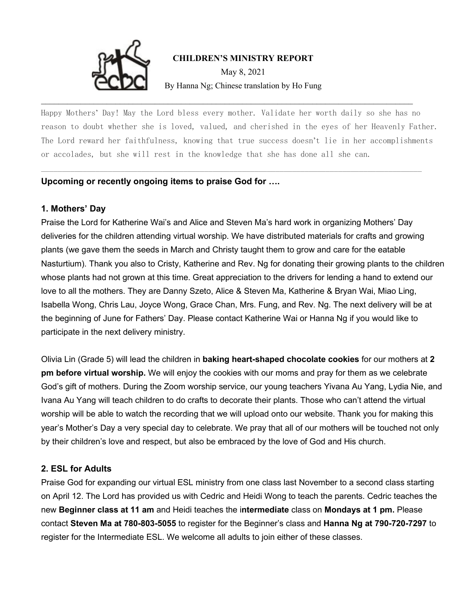

### **CHILDREN'S MINISTRY REPORT**

May 8, 2021 By Hanna Ng; Chinese translation by Ho Fung

Happy Mothers' Day! May the Lord bless every mother. Validate her worth daily so she has no reason to doubt whether she is loved, valued, and cherished in the eyes of her Heavenly Father. The Lord reward her faithfulness, knowing that true success doesn't lie in her accomplishments or accolades, but she will rest in the knowledge that she has done all she can.

 $\mathcal{L}_\mathcal{L} = \mathcal{L}_\mathcal{L} = \mathcal{L}_\mathcal{L} = \mathcal{L}_\mathcal{L} = \mathcal{L}_\mathcal{L} = \mathcal{L}_\mathcal{L} = \mathcal{L}_\mathcal{L} = \mathcal{L}_\mathcal{L} = \mathcal{L}_\mathcal{L} = \mathcal{L}_\mathcal{L} = \mathcal{L}_\mathcal{L} = \mathcal{L}_\mathcal{L} = \mathcal{L}_\mathcal{L} = \mathcal{L}_\mathcal{L} = \mathcal{L}_\mathcal{L} = \mathcal{L}_\mathcal{L} = \mathcal{L}_\mathcal{L}$ 

\_\_\_\_\_\_\_\_\_\_\_\_\_\_\_\_\_\_\_\_\_\_\_\_\_\_\_\_\_\_\_\_\_\_\_\_\_\_\_\_\_\_\_\_\_\_\_\_\_\_\_\_\_\_\_\_\_\_\_\_\_\_\_\_\_\_\_\_\_\_\_\_\_\_\_\_\_\_\_\_\_\_\_\_\_

### **Upcoming or recently ongoing items to praise God for ….**

### **1. Mothers' Day**

Praise the Lord for Katherine Wai's and Alice and Steven Ma's hard work in organizing Mothers' Day deliveries for the children attending virtual worship. We have distributed materials for crafts and growing plants (we gave them the seeds in March and Christy taught them to grow and care for the eatable Nasturtium). Thank you also to Cristy, Katherine and Rev. Ng for donating their growing plants to the children whose plants had not grown at this time. Great appreciation to the drivers for lending a hand to extend our love to all the mothers. They are Danny Szeto, Alice & Steven Ma, Katherine & Bryan Wai, Miao Ling, Isabella Wong, Chris Lau, Joyce Wong, Grace Chan, Mrs. Fung, and Rev. Ng. The next delivery will be at the beginning of June for Fathers' Day. Please contact Katherine Wai or Hanna Ng if you would like to participate in the next delivery ministry.

Olivia Lin (Grade 5) will lead the children in **baking heart-shaped chocolate cookies** for our mothers at **2 pm before virtual worship.** We will enjoy the cookies with our moms and pray for them as we celebrate God's gift of mothers. During the Zoom worship service, our young teachers Yivana Au Yang, Lydia Nie, and Ivana Au Yang will teach children to do crafts to decorate their plants. Those who can't attend the virtual worship will be able to watch the recording that we will upload onto our website. Thank you for making this year's Mother's Day a very special day to celebrate. We pray that all of our mothers will be touched not only by their children's love and respect, but also be embraced by the love of God and His church.

### **2. ESL for Adults**

Praise God for expanding our virtual ESL ministry from one class last November to a second class starting on April 12. The Lord has provided us with Cedric and Heidi Wong to teach the parents. Cedric teaches the new **Beginner class at 11 am** and Heidi teaches the i**ntermediate** class on **Mondays at 1 pm.** Please contact **Steven Ma at 780-803-5055** to register for the Beginner's class and **Hanna Ng at 790-720-7297** to register for the Intermediate ESL. We welcome all adults to join either of these classes.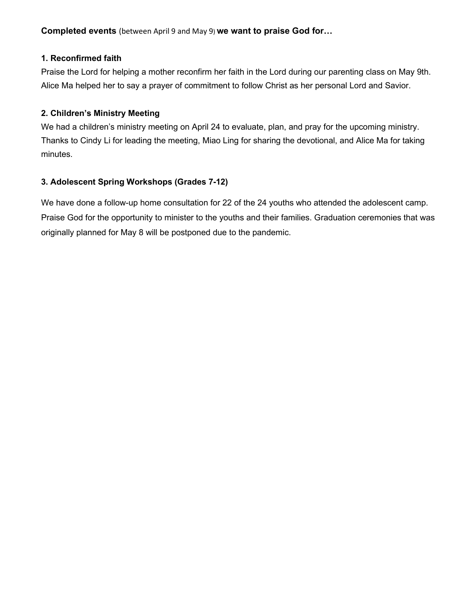**Completed events** (between April 9 and May 9) **we want to praise God for…**

## **1. Reconfirmed faith**

Praise the Lord for helping a mother reconfirm her faith in the Lord during our parenting class on May 9th. Alice Ma helped her to say a prayer of commitment to follow Christ as her personal Lord and Savior.

## **2. Children's Ministry Meeting**

We had a children's ministry meeting on April 24 to evaluate, plan, and pray for the upcoming ministry. Thanks to Cindy Li for leading the meeting, Miao Ling for sharing the devotional, and Alice Ma for taking minutes.

## **3. Adolescent Spring Workshops (Grades 7-12)**

We have done a follow-up home consultation for 22 of the 24 youths who attended the adolescent camp. Praise God for the opportunity to minister to the youths and their families. Graduation ceremonies that was originally planned for May 8 will be postponed due to the pandemic.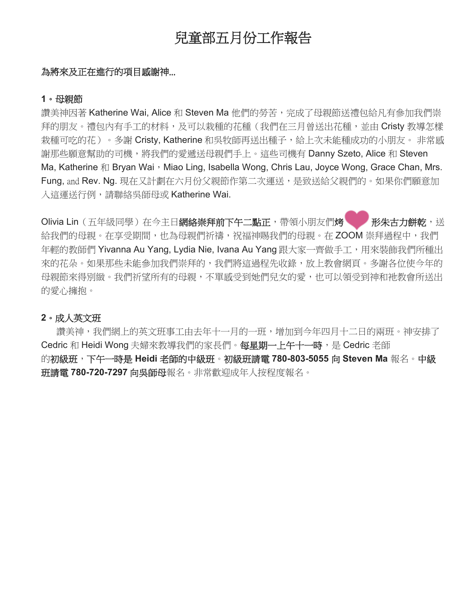# 兒童部五月份工作報告

### 為將來及正在進行的項目感謝神...

#### **1**。母親節

讚美神因著 Katherine Wai, Alice 和 Steven Ma 他們的勞苦,完成了母親節送禮包給凡有參加我們崇 拜的朋友。禮包內有手工的材料,及可以栽種的花種(我們在三月曾送出花種,並由 Cristy 教導怎樣 栽種可吃的花)。多謝 Cristy, Katherine 和吳牧師再送出種子,給上次未能種成功的小朋友。 非常感 謝那些願意幫助的司機,將我們的愛遞送母親們手上。這些司機有 Danny Szeto, Alice 和 Steven Ma, Katherine 和 Bryan Wai, Miao Ling, Isabella Wong, Chris Lau, Joyce Wong, Grace Chan, Mrs. Fung, and Rev. Ng. 現在又計劃在六月份父親節作第二次運送,是致送給父親們的。如果你們願意加 入這運送行例,請聯絡吳師母或 Katherine Wai.

Olivia Lin(五年級同學)在今主日網絡崇拜前下午二點正,帶領小朋友們烤<br> 給我們的母親。在享受期間,也為母親們祈禱,祝福神賜我們的母親。在 ZOOM 崇拜過程中,我們 年輕的教師們 Yivanna Au Yang, Lydia Nie, Ivana Au Yang 跟大家一齊做手工,用來裝飾我們所種出 來的花朵。如果那些未能參加我們崇拜的,我們將這過程先收錄,放上教會網頁。多謝各位使今年的 母親節來得別緻。我們祈望所有的母親,不單感受到她們兒女的愛,也可以領受到神和祂教會所送出 的愛心擁抱。

### **2**。成人英文班

讚美神,我們網上的英文班事工由去年十一月的一班,增加到今年四月十二日的兩班。神安排了 Cedric 和 Heidi Wong 夫婦來教導我們的家長們。每星期一上午十一時,是 Cedric 老師 的初級班,下午一時是 **Heidi** 老師的中級班。初級班請電 **780-803-5055** 向 **Steven Ma** 報名。中級 班請電 **780-720-7297** 向吳師母報名。非常歡迎成年人按程度報名。